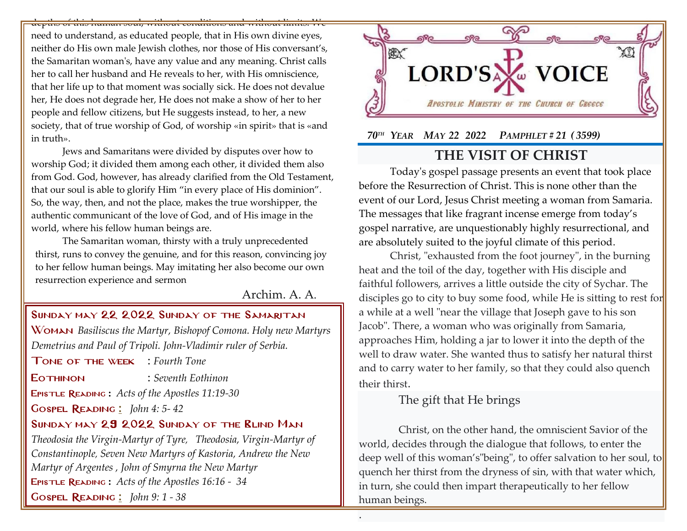depths of this human soul, without conditions and without limits. We

need to understand, as educated people, that in His own divine eyes, neither do His own male Jewish clothes, nor those of His conversant's, the Samaritan woman's, have any value and any meaning. Christ calls her to call her husband and He reveals to her, with His omniscience, that her life up to that moment was socially sick. He does not devalue her, He does not degrade her, He does not make a show of her to her people and fellow citizens, but He suggests instead, to her, a new society, that of true worship of God, of worship «in spirit» that is «and in truth».

Jews and Samaritans were divided by disputes over how to worship God; it divided them among each other, it divided them also from God. God, however, has already clarified from the Old Testament, that our soul is able to glorify Him "in every place of His dominion". So, the way, then, and not the place, makes the true worshipper, the authentic communicant of the love of God, and of His image in the world, where his fellow human beings are.

The Samaritan woman, thirsty with a truly unprecedented thirst, runs to convey the genuine, and for this reason, convincing joy to her fellow human beings. May imitating her also become our own resurrection experience and sermon

Archim. A. A.

#### Sunday may 22 2022 Sunday of the Samaritan

Woman *Basiliscus the Martyr, Bishopof Comona. Holy new Martyrs Demetrius and Paul of Tripoli. John-Vladimir ruler of Serbia.*

Tone of the week : *Fourth Tone*

EOTHINON : *Seventh Eothinon* 

Epistle Reading **:** *[Acts of the Apostles 11:19-30](http://www.goarch.org/chapel/lectionary?type=E&code=353&event=44&date=05/08/2022)*

Gospel Reading **[:](http://www.goarch.org/chapel/lectionary?type=G&code=362&event=218)** *[John 4:](http://www.goarch.org/chapel/lectionary?type=G&code=300&event=900) 5- 42*

### Sunday may 29 2022 Sunday of the Blind Man

*[Theodosia the Virgin-Martyr of Tyre](http://www.goarch.org/chapel/saints?contentid=70), [Theodosia, Virgin-Martyr of](http://www.goarch.org/chapel/saints?contentid=553)  [Constantinople](http://www.goarch.org/chapel/saints?contentid=553), Seven New Martyrs of Kastoria, Andrew the New Martyr of Argentes , John of Smyrna the New Martyr* Epistle Reading **:** *[Acts of the Apostles 16:16 -](http://www.goarch.org/chapel/lectionary?type=E&code=353&event=44&date=05/08/2022) 34* Gospel Reading **[:](http://www.goarch.org/chapel/lectionary?type=G&code=362&event=218)** *[John 9:](http://www.goarch.org/chapel/lectionary?type=G&code=300&event=900) 1 - 38*



 *70TH YEAR MAY 22 2022 PAMPHLET # 21 ( 3599)*

# **THE VISIT OF CHRIST**

Today's gospel passage presents an event that took place before the Resurrection of Christ. Τhis is none other than the event of our Lord, Jesus Christ meeting a woman from Samaria. The messages that like fragrant incense emerge from today's gospel narrative, are unquestionably highly resurrectional, and are absolutely suited to the joyful climate of this period.

Christ, "exhausted from the foot journey", in the burning heat and the toil of the day, together with His disciple and faithful followers, arrives a little outside the city of Sychar. The disciples go to city to buy some food, while He is sitting to rest for a while at a well "near the village that Joseph gave to his son Jacob". There, a woman who was originally from Samaria, approaches Him, holding a jar to lower it into the depth of the well to draw water. She wanted thus to satisfy her natural thirst and to carry water to her family, so that they could also quench their thirst.

## The gift that He brings

.

Christ, on the other hand, the omniscient Savior of the world, decides through the dialogue that follows, to enter the deep well of this woman's "being", to offer salvation to her soul, to quench her thirst from the dryness of sin, with that water which, in turn, she could then impart therapeutically to her fellow human beings.